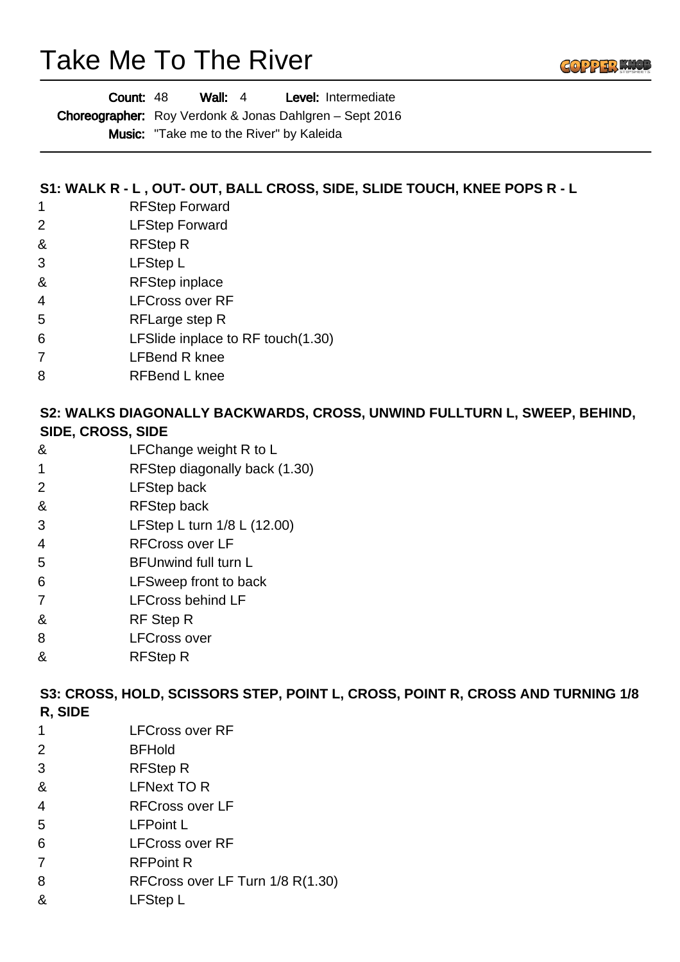# Take Me To The River

| Count: 48<br>Wall: $4$ |  | <b>Level:</b> Intermediate |
|------------------------|--|----------------------------|
|------------------------|--|----------------------------|

Choreographer: Roy Verdonk & Jonas Dahlgren - Sept 2016

Music: "Take me to the River" by Kaleida

## **S1: WALK R - L , OUT- OUT, BALL CROSS, SIDE, SLIDE TOUCH, KNEE POPS R - L**

- 1 RFStep Forward
- 2 LFStep Forward
- & RFStep R
- 3 LFStep L
- & RFStep inplace
- 4 LFCross over RF
- 5 RFLarge step R
- 6 LFSlide inplace to RF touch(1.30)
- 7 LFBend R knee
- 8 RFBend L knee

#### **S2: WALKS DIAGONALLY BACKWARDS, CROSS, UNWIND FULLTURN L, SWEEP, BEHIND, SIDE, CROSS, SIDE**

- & LFChange weight R to L
- 1 RFStep diagonally back (1.30)
- 2 LFStep back
- & RFStep back
- 3 LFStep L turn 1/8 L (12.00)
- 4 RFCross over LF
- 5 BFUnwind full turn L
- 6 LFSweep front to back
- 7 LFCross behind LF
- & RF Step R
- 8 LFCross over
- & RFStep R

# **S3: CROSS, HOLD, SCISSORS STEP, POINT L, CROSS, POINT R, CROSS AND TURNING 1/8 R, SIDE**

- 1 LFCross over RF
- 2 BFHold
- 3 RFStep R
- & LFNext TO R
- 4 RFCross over LF
- 5 LFPoint L
- 6 LFCross over RF
- 7 RFPoint R
- 8 RFCross over LF Turn 1/8 R(1.30)
- & LFStep L